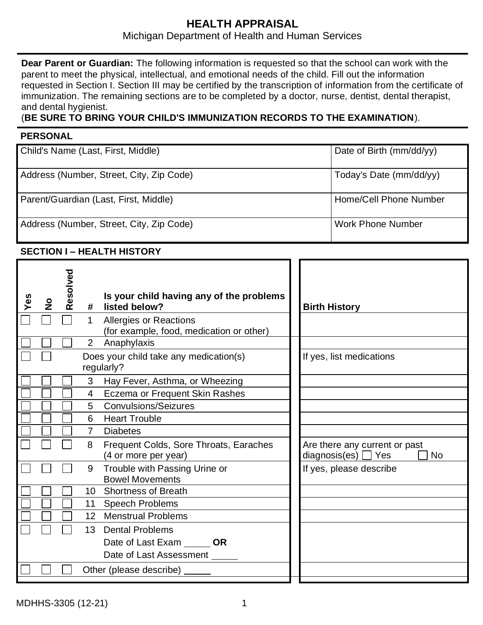# **HEALTH APPRAISAL**

# Michigan Department of Health and Human Services

**Dear Parent or Guardian:** The following information is requested so that the school can work with the parent to meet the physical, intellectual, and emotional needs of the child. Fill out the information requested in Section I. Section III may be certified by the transcription of information from the certificate of immunization. The remaining sections are to be completed by a doctor, nurse, dentist, dental therapist, and dental hygienist.

## (**BE SURE TO BRING YOUR CHILD'S IMMUNIZATION RECORDS TO THE EXAMINATION**).

### **PERSONAL**

| Child's Name (Last, First, Middle)       | Date of Birth (mm/dd/yy) |
|------------------------------------------|--------------------------|
| Address (Number, Street, City, Zip Code) | Today's Date (mm/dd/yy)  |
| Parent/Guardian (Last, First, Middle)    | Home/Cell Phone Number   |
| Address (Number, Street, City, Zip Code) | <b>Work Phone Number</b> |

## **SECTION I – HEALTH HISTORY**

| Yes | $rac{6}{5}$ | Resolved | #<br>$\mathbf{1}$ | Is your child having any of the problems<br>listed below?<br><b>Allergies or Reactions</b><br>(for example, food, medication or other) | <b>Birth History</b>                                                   |
|-----|-------------|----------|-------------------|----------------------------------------------------------------------------------------------------------------------------------------|------------------------------------------------------------------------|
|     |             |          | 2 <sup>7</sup>    | Anaphylaxis                                                                                                                            |                                                                        |
|     |             |          |                   | Does your child take any medication(s)<br>regularly?                                                                                   | If yes, list medications                                               |
|     |             |          | 3                 | Hay Fever, Asthma, or Wheezing                                                                                                         |                                                                        |
|     |             |          | 4                 | Eczema or Frequent Skin Rashes                                                                                                         |                                                                        |
|     |             |          | 5                 | <b>Convulsions/Seizures</b>                                                                                                            |                                                                        |
|     |             |          | 6                 | <b>Heart Trouble</b>                                                                                                                   |                                                                        |
|     |             |          | $\overline{7}$    | <b>Diabetes</b>                                                                                                                        |                                                                        |
|     |             |          | 8                 | Frequent Colds, Sore Throats, Earaches<br>(4 or more per year)                                                                         | Are there any current or past<br>diagnosis(es) $\Box$ Yes<br><b>No</b> |
|     |             |          | 9                 | Trouble with Passing Urine or<br><b>Bowel Movements</b>                                                                                | If yes, please describe                                                |
|     |             |          | 10 <sup>°</sup>   | <b>Shortness of Breath</b>                                                                                                             |                                                                        |
|     |             |          | 11                | <b>Speech Problems</b>                                                                                                                 |                                                                        |
|     |             |          |                   | 12 Menstrual Problems                                                                                                                  |                                                                        |
|     |             |          | 13 <sup>°</sup>   | <b>Dental Problems</b>                                                                                                                 |                                                                        |
|     |             |          |                   | Date of Last Exam OR                                                                                                                   |                                                                        |
|     |             |          |                   | Date of Last Assessment                                                                                                                |                                                                        |
|     |             |          |                   | Other (please describe)                                                                                                                |                                                                        |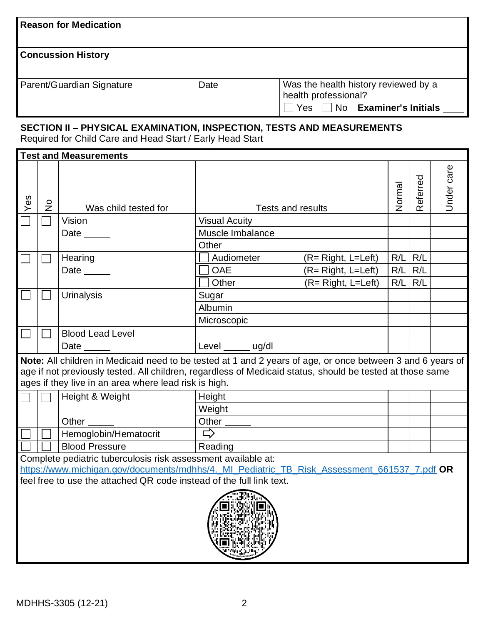| <b>Reason for Medication</b>                                                                                                                                                                                                         |                                                                                                                                                                                                                                                                                  |                              |                      |                          |        |                     |            |  |
|--------------------------------------------------------------------------------------------------------------------------------------------------------------------------------------------------------------------------------------|----------------------------------------------------------------------------------------------------------------------------------------------------------------------------------------------------------------------------------------------------------------------------------|------------------------------|----------------------|--------------------------|--------|---------------------|------------|--|
| <b>Concussion History</b>                                                                                                                                                                                                            |                                                                                                                                                                                                                                                                                  |                              |                      |                          |        |                     |            |  |
|                                                                                                                                                                                                                                      | Was the health history reviewed by a<br>Parent/Guardian Signature<br>Date<br>health professional?                                                                                                                                                                                |                              |                      |                          |        |                     |            |  |
|                                                                                                                                                                                                                                      | $\Box$ Yes $\Box$ No Examiner's Initials $\Box$                                                                                                                                                                                                                                  |                              |                      |                          |        |                     |            |  |
|                                                                                                                                                                                                                                      | SECTION II - PHYSICAL EXAMINATION, INSPECTION, TESTS AND MEASUREMENTS<br>Required for Child Care and Head Start / Early Head Start                                                                                                                                               |                              |                      |                          |        |                     |            |  |
|                                                                                                                                                                                                                                      |                                                                                                                                                                                                                                                                                  | <b>Test and Measurements</b> |                      |                          |        |                     |            |  |
| Yes                                                                                                                                                                                                                                  | $\frac{1}{2}$                                                                                                                                                                                                                                                                    | Was child tested for         |                      | <b>Tests and results</b> | Normal | eferred<br>$\alpha$ | Jnder care |  |
|                                                                                                                                                                                                                                      |                                                                                                                                                                                                                                                                                  | Vision                       | <b>Visual Acuity</b> |                          |        |                     |            |  |
|                                                                                                                                                                                                                                      |                                                                                                                                                                                                                                                                                  | Date                         | Muscle Imbalance     |                          |        |                     |            |  |
|                                                                                                                                                                                                                                      |                                                                                                                                                                                                                                                                                  |                              | Other                |                          |        |                     |            |  |
|                                                                                                                                                                                                                                      |                                                                                                                                                                                                                                                                                  | Hearing                      | Audiometer           | $(R = Right, L = Left)$  | R/L    | R/L                 |            |  |
|                                                                                                                                                                                                                                      |                                                                                                                                                                                                                                                                                  | Date $\_\_$                  | <b>OAE</b>           | $(R = Right, L = Left)$  | R/L    | R/L                 |            |  |
|                                                                                                                                                                                                                                      |                                                                                                                                                                                                                                                                                  |                              | Other                | (R= Right, L=Left)       | R/L    | R/L                 |            |  |
|                                                                                                                                                                                                                                      |                                                                                                                                                                                                                                                                                  | <b>Urinalysis</b>            | Sugar                |                          |        |                     |            |  |
|                                                                                                                                                                                                                                      |                                                                                                                                                                                                                                                                                  |                              | Albumin              |                          |        |                     |            |  |
|                                                                                                                                                                                                                                      |                                                                                                                                                                                                                                                                                  |                              | Microscopic          |                          |        |                     |            |  |
|                                                                                                                                                                                                                                      |                                                                                                                                                                                                                                                                                  | <b>Blood Lead Level</b>      |                      |                          |        |                     |            |  |
|                                                                                                                                                                                                                                      |                                                                                                                                                                                                                                                                                  |                              | Level ______ ug/dl   |                          |        |                     |            |  |
|                                                                                                                                                                                                                                      | Note: All children in Medicaid need to be tested at 1 and 2 years of age, or once between 3 and 6 years of<br>age if not previously tested. All children, regardless of Medicaid status, should be tested at those same<br>ages if they live in an area where lead risk is high. |                              |                      |                          |        |                     |            |  |
|                                                                                                                                                                                                                                      |                                                                                                                                                                                                                                                                                  | Height & Weight              | Height               |                          |        |                     |            |  |
|                                                                                                                                                                                                                                      |                                                                                                                                                                                                                                                                                  |                              | Weight               |                          |        |                     |            |  |
|                                                                                                                                                                                                                                      |                                                                                                                                                                                                                                                                                  | Other                        | Other                |                          |        |                     |            |  |
|                                                                                                                                                                                                                                      |                                                                                                                                                                                                                                                                                  | Hemoglobin/Hematocrit        | □                    |                          |        |                     |            |  |
|                                                                                                                                                                                                                                      |                                                                                                                                                                                                                                                                                  | <b>Blood Pressure</b>        | Reading              |                          |        |                     |            |  |
| Complete pediatric tuberculosis risk assessment available at:<br>https://www.michigan.gov/documents/mdhhs/4. MI_Pediatric_TB_Risk_Assessment_661537_7.pdf OR<br>feel free to use the attached QR code instead of the full link text. |                                                                                                                                                                                                                                                                                  |                              |                      |                          |        |                     |            |  |
|                                                                                                                                                                                                                                      |                                                                                                                                                                                                                                                                                  |                              |                      |                          |        |                     |            |  |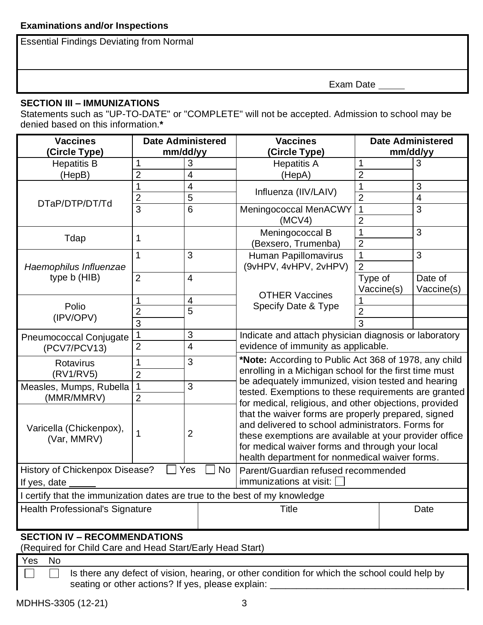Essential Findings Deviating from Normal

Exam Date

### **SECTION III – IMMUNIZATIONS**

Statements such as "UP-TO-DATE" or "COMPLETE" will not be accepted. Admission to school may be denied based on this information.**\***

| <b>Vaccines</b>                                                                           | <b>Date Administered</b> |                | <b>Vaccines</b>                                                                                                                                                       | <b>Date Administered</b> |                |  |  |
|-------------------------------------------------------------------------------------------|--------------------------|----------------|-----------------------------------------------------------------------------------------------------------------------------------------------------------------------|--------------------------|----------------|--|--|
| <b>Circle Type)</b>                                                                       |                          | mm/dd/yy       | (Circle Type)                                                                                                                                                         |                          | mm/dd/yy       |  |  |
| <b>Hepatitis B</b>                                                                        | 1                        | 3              | <b>Hepatitis A</b>                                                                                                                                                    | 1                        | 3              |  |  |
| (HepB)                                                                                    | $\overline{2}$           | 4              | (HepA)                                                                                                                                                                | $\overline{2}$           |                |  |  |
|                                                                                           | 1                        | $\overline{4}$ | Influenza (IIV/LAIV)                                                                                                                                                  | 1                        | 3              |  |  |
| DTaP/DTP/DT/Td                                                                            | $\overline{2}$           | 5              |                                                                                                                                                                       | $\overline{2}$           | $\overline{4}$ |  |  |
|                                                                                           | $\overline{3}$           | $\overline{6}$ | Meningococcal MenACWY                                                                                                                                                 | 1                        | $\overline{3}$ |  |  |
|                                                                                           |                          |                | (MCV4)                                                                                                                                                                | $\overline{2}$           |                |  |  |
| Tdap                                                                                      | 1                        |                | Meningococcal B                                                                                                                                                       | 1                        | 3              |  |  |
|                                                                                           |                          |                | (Bexsero, Trumenba)                                                                                                                                                   | $\overline{2}$           |                |  |  |
|                                                                                           | $\overline{1}$           | 3              | Human Papillomavirus                                                                                                                                                  | 1                        | 3              |  |  |
| Haemophilus Influenzae                                                                    |                          |                | (9vHPV, 4vHPV, 2vHPV)                                                                                                                                                 | $\overline{2}$           |                |  |  |
| type b (HIB)                                                                              | $\overline{2}$           | $\overline{4}$ |                                                                                                                                                                       | Type of                  | Date of        |  |  |
|                                                                                           |                          |                | <b>OTHER Vaccines</b>                                                                                                                                                 | Vaccine(s)               | Vaccine(s)     |  |  |
| Polio                                                                                     | 1                        | $\overline{4}$ | Specify Date & Type                                                                                                                                                   |                          |                |  |  |
| (IPV/OPV)                                                                                 | $\overline{2}$           | $\overline{5}$ |                                                                                                                                                                       | $\overline{2}$           |                |  |  |
|                                                                                           | 3                        |                |                                                                                                                                                                       | 3                        |                |  |  |
| <b>Pneumococcal Conjugate</b>                                                             | 1                        | 3              | Indicate and attach physician diagnosis or laboratory<br>evidence of immunity as applicable.                                                                          |                          |                |  |  |
| (PCV7/PCV13)                                                                              | $\overline{2}$           | $\overline{4}$ |                                                                                                                                                                       |                          |                |  |  |
| Rotavirus                                                                                 | 1                        | 3              | *Note: According to Public Act 368 of 1978, any child<br>enrolling in a Michigan school for the first time must<br>be adequately immunized, vision tested and hearing |                          |                |  |  |
| (RV1/RV5)                                                                                 | $\overline{2}$           |                |                                                                                                                                                                       |                          |                |  |  |
| Measles, Mumps, Rubella                                                                   | $\overline{1}$           | 3              |                                                                                                                                                                       |                          |                |  |  |
| (MMR/MMRV)                                                                                | $\overline{2}$           |                | tested. Exemptions to these requirements are granted                                                                                                                  |                          |                |  |  |
|                                                                                           |                          |                | for medical, religious, and other objections, provided                                                                                                                |                          |                |  |  |
|                                                                                           |                          |                | that the waiver forms are properly prepared, signed<br>and delivered to school administrators. Forms for                                                              |                          |                |  |  |
| Varicella (Chickenpox),                                                                   | 1                        | $\overline{2}$ | these exemptions are available at your provider office<br>for medical waiver forms and through your local                                                             |                          |                |  |  |
| (Var, MMRV)                                                                               |                          |                |                                                                                                                                                                       |                          |                |  |  |
|                                                                                           |                          |                | health department for nonmedical waiver forms.                                                                                                                        |                          |                |  |  |
| History of Chickenpox Disease?<br>Yes<br><b>No</b><br>Parent/Guardian refused recommended |                          |                |                                                                                                                                                                       |                          |                |  |  |
| immunizations at visit:<br>If yes, date                                                   |                          |                |                                                                                                                                                                       |                          |                |  |  |
| I certify that the immunization dates are true to the best of my knowledge                |                          |                |                                                                                                                                                                       |                          |                |  |  |
|                                                                                           |                          |                |                                                                                                                                                                       |                          |                |  |  |
| Health Professional's Signature                                                           |                          |                | <b>Title</b>                                                                                                                                                          |                          | Date           |  |  |
|                                                                                           |                          |                |                                                                                                                                                                       |                          |                |  |  |
| <b>SECTION IV - RECOMMENDATIONS</b>                                                       |                          |                |                                                                                                                                                                       |                          |                |  |  |

# (Required for Child Care and Head Start/Early Head Start)

Yes No

 $\overline{\phantom{0}}$ 

Is there any defect of vision, hearing, or other condition for which the school could help by  $\Box$ seating or other actions? If yes, please explain: \_\_\_\_\_\_\_\_\_\_\_\_\_\_\_\_\_\_\_\_\_\_\_\_\_\_\_\_\_\_